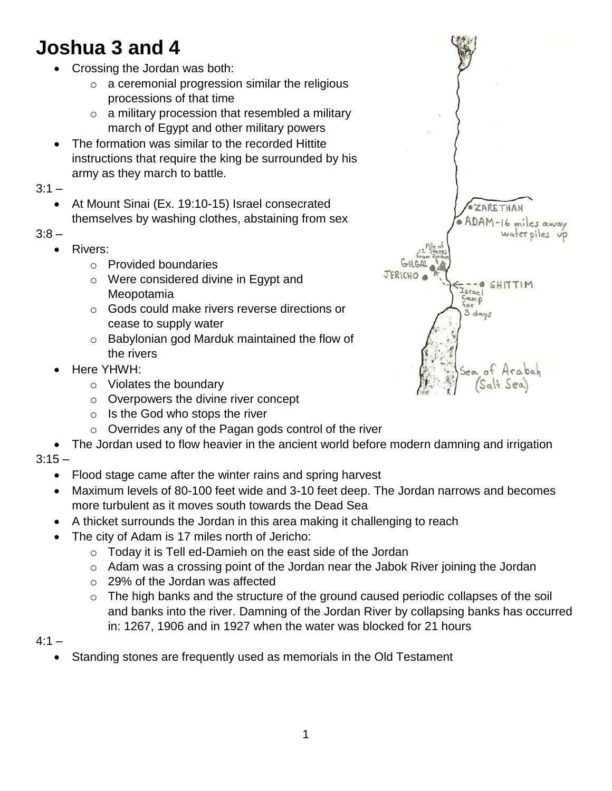## **Joshua 3 and 4**

- Crossing the Jordan was both:
	- $\circ$  a ceremonial progression similar the religious processions of that time
	- $\circ$  a military procession that resembled a military march of Egypt and other military powers
- The formation was similar to the recorded Hittite instructions that require the king be surrounded by his army as they march to battle.

 $3:1 -$ 

 At Mount Sinai (Ex. 19:10-15) Israel consecrated themselves by washing clothes, abstaining from sex

 $3:8 -$ 

- Rivers:
	- o Provided boundaries
	- o Were considered divine in Egypt and Meopotamia
	- o Gods could make rivers reverse directions or cease to supply water
	- o Babylonian god Marduk maintained the flow of the rivers
- Here YHWH:
	- o Violates the boundary
	- o Overpowers the divine river concept
	- $\circ$  Is the God who stops the river
	- o Overrides any of the Pagan gods control of the river
- The Jordan used to flow heavier in the ancient world before modern damning and irrigation

 $3:15 -$ 

- Flood stage came after the winter rains and spring harvest
- Maximum levels of 80-100 feet wide and 3-10 feet deep. The Jordan narrows and becomes more turbulent as it moves south towards the Dead Sea
- A thicket surrounds the Jordan in this area making it challenging to reach
- The city of Adam is 17 miles north of Jericho:
	- o Today it is Tell ed-Damieh on the east side of the Jordan
	- o Adam was a crossing point of the Jordan near the Jabok River joining the Jordan
	- o 29% of the Jordan was affected
	- $\circ$  The high banks and the structure of the ground caused periodic collapses of the soil and banks into the river. Damning of the Jordan River by collapsing banks has occurred in: 1267, 1906 and in 1927 when the water was blocked for 21 hours

 $4:1 -$ 

Standing stones are frequently used as memorials in the Old Testament